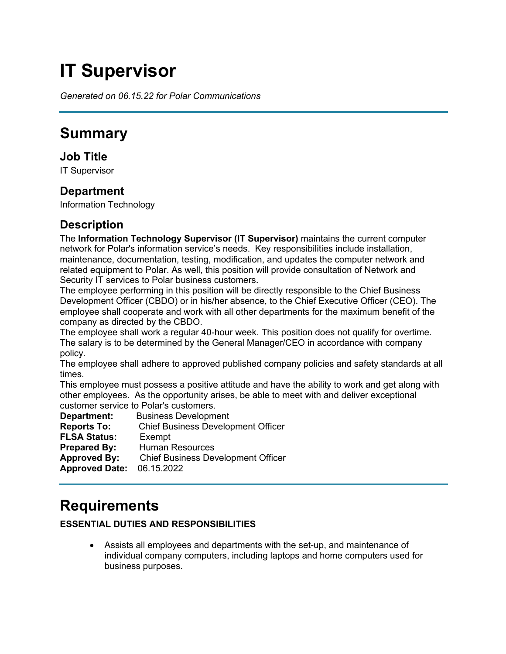# **IT Supervisor**

*Generated on 06.15.22 for Polar Communications*

# **Summary**

# **Job Title**

IT Supervisor

# **Department**

Information Technology

# **Description**

The **Information Technology Supervisor (IT Supervisor)** maintains the current computer network for Polar's information service's needs. Key responsibilities include installation, maintenance, documentation, testing, modification, and updates the computer network and related equipment to Polar. As well, this position will provide consultation of Network and Security IT services to Polar business customers.

The employee performing in this position will be directly responsible to the Chief Business Development Officer (CBDO) or in his/her absence, to the Chief Executive Officer (CEO). The employee shall cooperate and work with all other departments for the maximum benefit of the company as directed by the CBDO.

The employee shall work a regular 40-hour week. This position does not qualify for overtime. The salary is to be determined by the General Manager/CEO in accordance with company policy.

The employee shall adhere to approved published company policies and safety standards at all times.

This employee must possess a positive attitude and have the ability to work and get along with other employees. As the opportunity arises, be able to meet with and deliver exceptional customer service to Polar's customers.

**Department:** Business Development **Reports To:** Chief Business Development Officer **FLSA Status:** Exempt **Prepared By:** Human Resources **Approved By:** Chief Business Development Officer **Approved Date:** 06.15.2022

# **Requirements**

### **ESSENTIAL DUTIES AND RESPONSIBILITIES**

• Assists all employees and departments with the set-up, and maintenance of individual company computers, including laptops and home computers used for business purposes.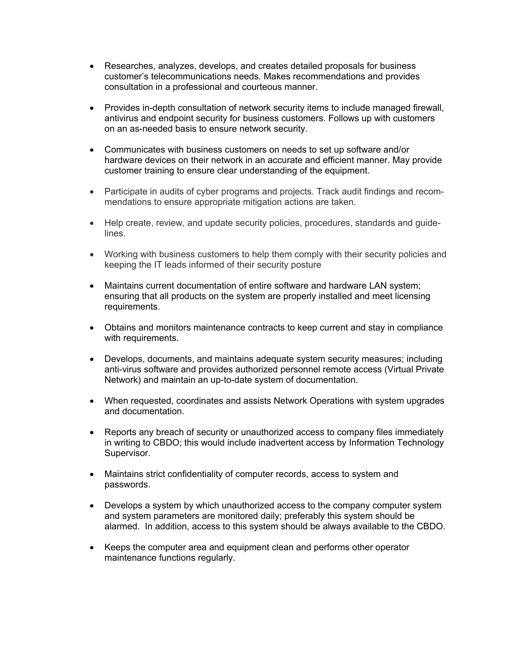- Researches, analyzes, develops, and creates detailed proposals for business customer's telecommunications needs. Makes recommendations and provides consultation in a professional and courteous manner.
- Provides in-depth consultation of network security items to include managed firewall, antivirus and endpoint security for business customers. Follows up with customers on an as-needed basis to ensure network security.
- Communicates with business customers on needs to set up software and/or hardware devices on their network in an accurate and efficient manner. May provide customer training to ensure clear understanding of the equipment.
- Participate in audits of cyber programs and projects. Track audit findings and recommendations to ensure appropriate mitigation actions are taken.
- Help create, review, and update security policies, procedures, standards and guidelines.
- Working with business customers to help them comply with their security policies and keeping the IT leads informed of their security posture
- Maintains current documentation of entire software and hardware LAN system; ensuring that all products on the system are properly installed and meet licensing requirements.
- Obtains and monitors maintenance contracts to keep current and stay in compliance with requirements.
- Develops, documents, and maintains adequate system security measures; including anti-virus software and provides authorized personnel remote access (Virtual Private Network) and maintain an up-to-date system of documentation.
- When requested, coordinates and assists Network Operations with system upgrades and documentation.
- Reports any breach of security or unauthorized access to company files immediately in writing to CBDO; this would include inadvertent access by Information Technology Supervisor.
- Maintains strict confidentiality of computer records, access to system and passwords.
- Develops a system by which unauthorized access to the company computer system and system parameters are monitored daily; preferably this system should be alarmed. In addition, access to this system should be always available to the CBDO.
- Keeps the computer area and equipment clean and performs other operator maintenance functions regularly.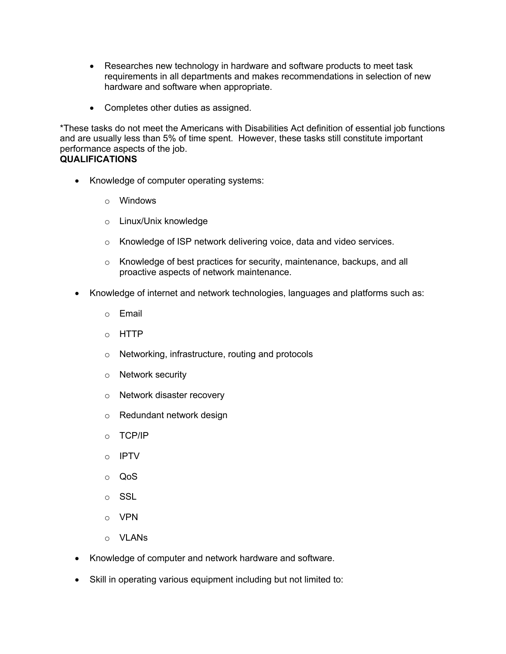- Researches new technology in hardware and software products to meet task requirements in all departments and makes recommendations in selection of new hardware and software when appropriate.
- Completes other duties as assigned.

\*These tasks do not meet the Americans with Disabilities Act definition of essential job functions and are usually less than 5% of time spent. However, these tasks still constitute important performance aspects of the job. **QUALIFICATIONS**

- Knowledge of computer operating systems:
	- o Windows
	- o Linux/Unix knowledge
	- o Knowledge of ISP network delivering voice, data and video services.
	- o Knowledge of best practices for security, maintenance, backups, and all proactive aspects of network maintenance.
- Knowledge of internet and network technologies, languages and platforms such as:
	- o Email
	- o HTTP
	- o Networking, infrastructure, routing and protocols
	- o Network security
	- o Network disaster recovery
	- o Redundant network design
	- o TCP/IP
	- o IPTV
	- o QoS
	- o SSL
	- o VPN
	- o VLANs
- Knowledge of computer and network hardware and software.
- Skill in operating various equipment including but not limited to: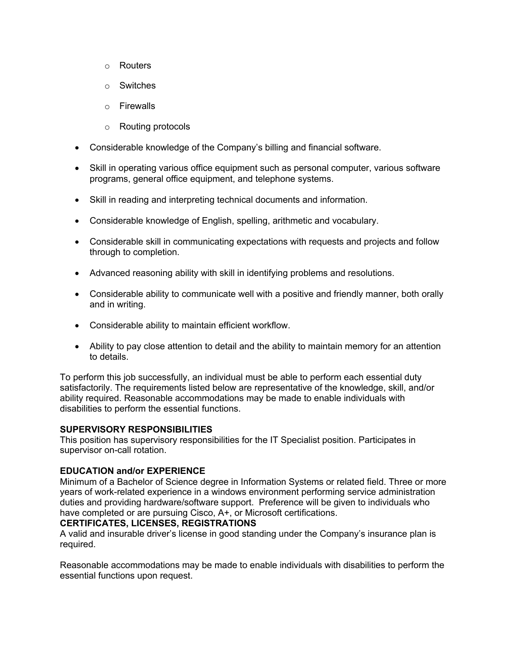- o Routers
- o Switches
- o Firewalls
- o Routing protocols
- Considerable knowledge of the Company's billing and financial software.
- Skill in operating various office equipment such as personal computer, various software programs, general office equipment, and telephone systems.
- Skill in reading and interpreting technical documents and information.
- Considerable knowledge of English, spelling, arithmetic and vocabulary.
- Considerable skill in communicating expectations with requests and projects and follow through to completion.
- Advanced reasoning ability with skill in identifying problems and resolutions.
- Considerable ability to communicate well with a positive and friendly manner, both orally and in writing.
- Considerable ability to maintain efficient workflow.
- Ability to pay close attention to detail and the ability to maintain memory for an attention to details.

To perform this job successfully, an individual must be able to perform each essential duty satisfactorily. The requirements listed below are representative of the knowledge, skill, and/or ability required. Reasonable accommodations may be made to enable individuals with disabilities to perform the essential functions.

### **SUPERVISORY RESPONSIBILITIES**

This position has supervisory responsibilities for the IT Specialist position. Participates in supervisor on-call rotation.

### **EDUCATION and/or EXPERIENCE**

Minimum of a Bachelor of Science degree in Information Systems or related field. Three or more years of work-related experience in a windows environment performing service administration duties and providing hardware/software support. Preference will be given to individuals who have completed or are pursuing Cisco, A+, or Microsoft certifications.

### **CERTIFICATES, LICENSES, REGISTRATIONS**

A valid and insurable driver's license in good standing under the Company's insurance plan is required.

Reasonable accommodations may be made to enable individuals with disabilities to perform the essential functions upon request.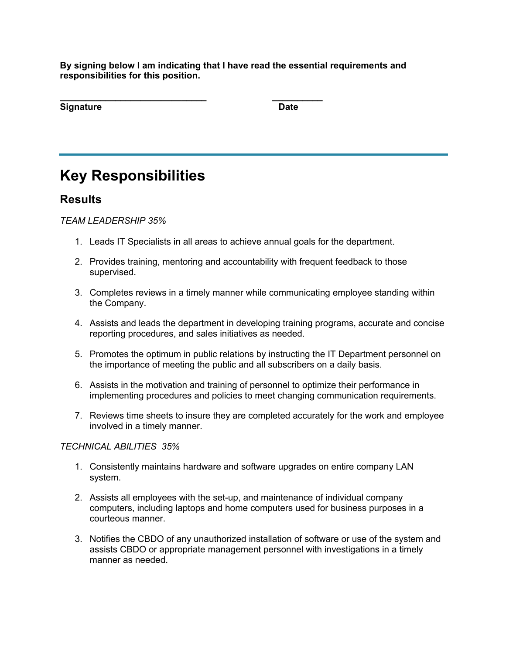**By signing below I am indicating that I have read the essential requirements and responsibilities for this position.**

| <b>Signature</b> | <b>Date</b> |
|------------------|-------------|

# **Key Responsibilities**

### **Results**

*TEAM LEADERSHIP 35%*

- 1. Leads IT Specialists in all areas to achieve annual goals for the department.
- 2. Provides training, mentoring and accountability with frequent feedback to those supervised.
- 3. Completes reviews in a timely manner while communicating employee standing within the Company.
- 4. Assists and leads the department in developing training programs, accurate and concise reporting procedures, and sales initiatives as needed.
- 5. Promotes the optimum in public relations by instructing the IT Department personnel on the importance of meeting the public and all subscribers on a daily basis.
- 6. Assists in the motivation and training of personnel to optimize their performance in implementing procedures and policies to meet changing communication requirements.
- 7. Reviews time sheets to insure they are completed accurately for the work and employee involved in a timely manner.

### *TECHNICAL ABILITIES 35%*

- 1. Consistently maintains hardware and software upgrades on entire company LAN system.
- 2. Assists all employees with the set-up, and maintenance of individual company computers, including laptops and home computers used for business purposes in a courteous manner.
- 3. Notifies the CBDO of any unauthorized installation of software or use of the system and assists CBDO or appropriate management personnel with investigations in a timely manner as needed.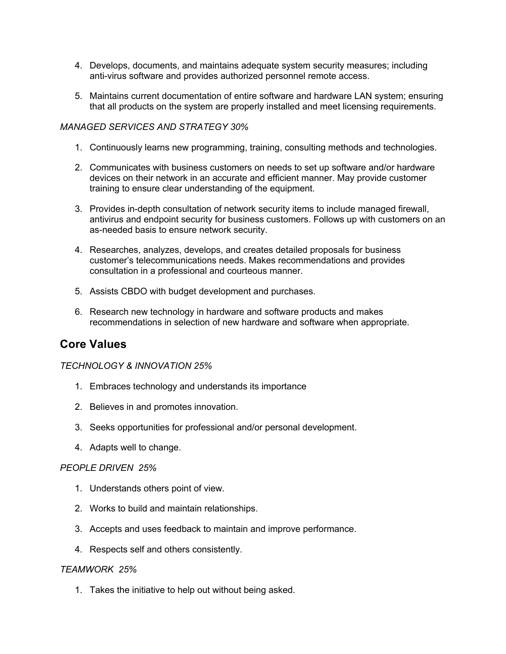- 4. Develops, documents, and maintains adequate system security measures; including anti-virus software and provides authorized personnel remote access.
- 5. Maintains current documentation of entire software and hardware LAN system; ensuring that all products on the system are properly installed and meet licensing requirements.

### *MANAGED SERVICES AND STRATEGY 30%*

- 1. Continuously learns new programming, training, consulting methods and technologies.
- 2. Communicates with business customers on needs to set up software and/or hardware devices on their network in an accurate and efficient manner. May provide customer training to ensure clear understanding of the equipment.
- 3. Provides in-depth consultation of network security items to include managed firewall, antivirus and endpoint security for business customers. Follows up with customers on an as-needed basis to ensure network security.
- 4. Researches, analyzes, develops, and creates detailed proposals for business customer's telecommunications needs. Makes recommendations and provides consultation in a professional and courteous manner.
- 5. Assists CBDO with budget development and purchases.
- 6. Research new technology in hardware and software products and makes recommendations in selection of new hardware and software when appropriate.

### **Core Values**

#### *TECHNOLOGY & INNOVATION 25%*

- 1. Embraces technology and understands its importance
- 2. Believes in and promotes innovation.
- 3. Seeks opportunities for professional and/or personal development.
- 4. Adapts well to change.

#### *PEOPLE DRIVEN 25%*

- 1. Understands others point of view.
- 2. Works to build and maintain relationships.
- 3. Accepts and uses feedback to maintain and improve performance.
- 4. Respects self and others consistently.

#### *TEAMWORK 25%*

1. Takes the initiative to help out without being asked.